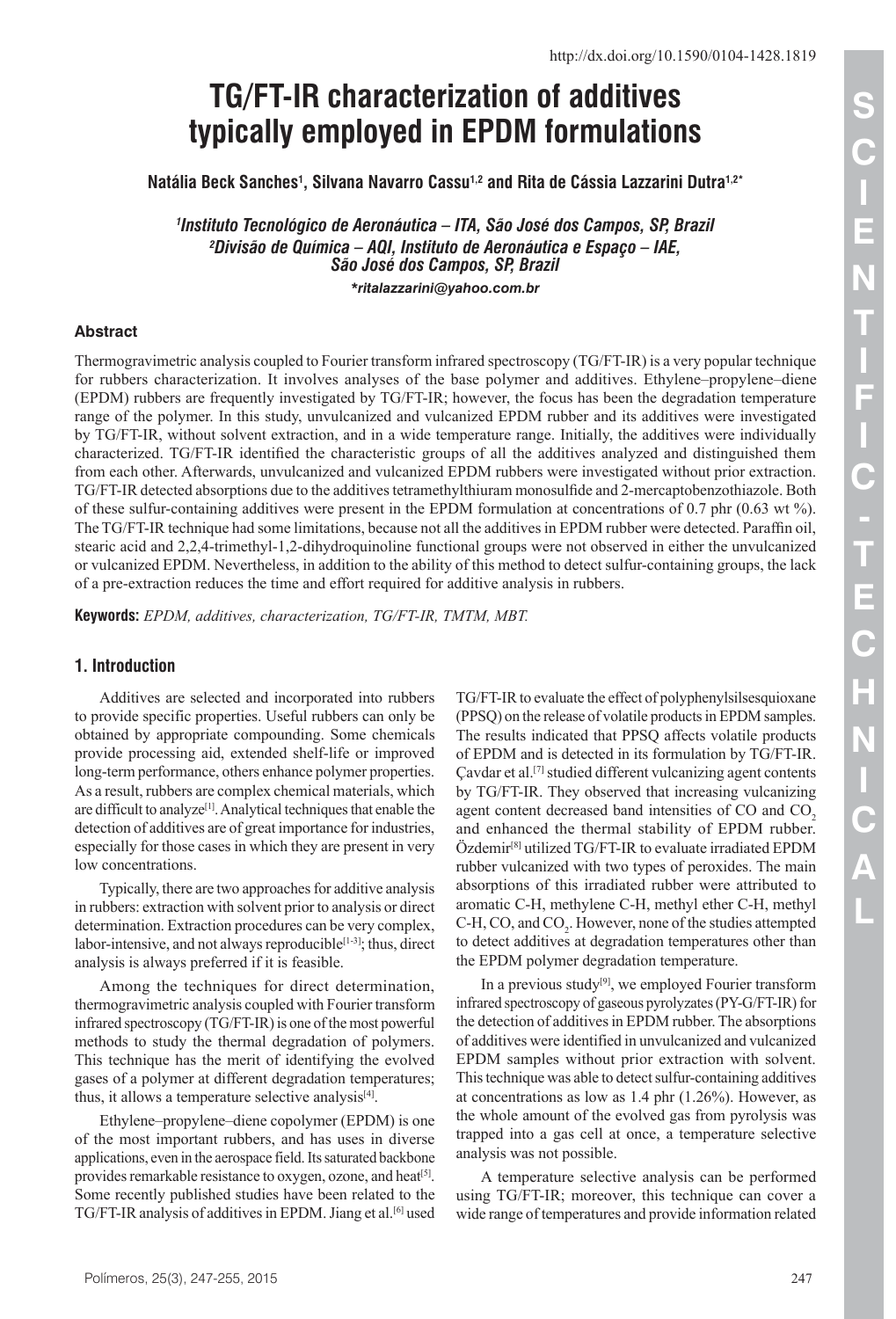# **TG/FT-IR characterization of additives typically employed in EPDM formulations**

Natália Beck Sanches<sup>1</sup>, Silvana Navarro Cassu<sup>1,2</sup> and Rita de Cássia Lazzarini Dutra<sup>1,2</sup>\*

*1 Instituto Tecnológico de Aeronáutica – ITA, São José dos Campos, SP, Brazil 2 Divisão de Química – AQI, Instituto de Aeronáutica e Espaço – IAE, São José dos Campos, SP, Brazil*

*[\\*r](mailto:*)italazzarini@yahoo.com.br*

## **Abstract**

Thermogravimetric analysis coupled to Fourier transform infrared spectroscopy (TG/FT-IR) is a very popular technique for rubbers characterization. It involves analyses of the base polymer and additives. Ethylene–propylene–diene (EPDM) rubbers are frequently investigated by TG/FT-IR; however, the focus has been the degradation temperature range of the polymer. In this study, unvulcanized and vulcanized EPDM rubber and its additives were investigated by TG/FT-IR, without solvent extraction, and in a wide temperature range. Initially, the additives were individually characterized. TG/FT-IR identified the characteristic groups of all the additives analyzed and distinguished them from each other. Afterwards, unvulcanized and vulcanized EPDM rubbers were investigated without prior extraction. TG/FT-IR detected absorptions due to the additives tetramethylthiuram monosulfide and 2-mercaptobenzothiazole. Both of these sulfur-containing additives were present in the EPDM formulation at concentrations of 0.7 phr (0.63 wt %). The TG/FT-IR technique had some limitations, because not all the additives in EPDM rubber were detected. Paraffin oil, stearic acid and 2,2,4-trimethyl-1,2-dihydroquinoline functional groups were not observed in either the unvulcanized or vulcanized EPDM. Nevertheless, in addition to the ability of this method to detect sulfur-containing groups, the lack of a pre-extraction reduces the time and effort required for additive analysis in rubbers.

**Keywords:** *EPDM, additives, characterization, TG/FT-IR, TMTM, MBT.*

## **1. Introduction**

Additives are selected and incorporated into rubbers to provide specific properties. Useful rubbers can only be obtained by appropriate compounding. Some chemicals provide processing aid, extended shelf-life or improved long-term performance, others enhance polymer properties. As a result, rubbers are complex chemical materials, which are difficult to analyze<sup>[1]</sup>. Analytical techniques that enable the detection of additives are of great importance for industries, especially for those cases in which they are present in very low concentrations.

Typically, there are two approaches for additive analysis in rubbers: extraction with solvent prior to analysis or direct determination. Extraction procedures can be very complex, labor-intensive, and not always reproducible<sup>[1-3]</sup>; thus, direct analysis is always preferred if it is feasible.

Among the techniques for direct determination, thermogravimetric analysis coupled with Fourier transform infrared spectroscopy (TG/FT-IR) is one of the most powerful methods to study the thermal degradation of polymers. This technique has the merit of identifying the evolved gases of a polymer at different degradation temperatures; thus, it allows a temperature selective analysis<sup>[4]</sup>.

Ethylene–propylene–diene copolymer (EPDM) is one of the most important rubbers, and has uses in diverse applications, even in the aerospace field. Its saturated backbone provides remarkable resistance to oxygen, ozone, and heat<sup>[5]</sup>. Some recently published studies have been related to the TG/FT-IR analysis of additives in EPDM. Jiang et al.<sup>[6]</sup> used TG/FT-IR to evaluate the effect of polyphenylsilsesquioxane (PPSQ) on the release of volatile products in EPDM samples. The results indicated that PPSQ affects volatile products of EPDM and is detected in its formulation by TG/FT-IR. Çavdar et al.[7] studied different vulcanizing agent contents by TG/FT-IR. They observed that increasing vulcanizing agent content decreased band intensities of CO and CO<sub>2</sub> and enhanced the thermal stability of EPDM rubber.  $Oz$ demir<sup>[8]</sup> utilized TG/FT-IR to evaluate irradiated EPDM rubber vulcanized with two types of peroxides. The main absorptions of this irradiated rubber were attributed to aromatic C-H, methylene C-H, methyl ether C-H, methyl C-H, CO, and  $CO<sub>2</sub>$ . However, none of the studies attempted to detect additives at degradation temperatures other than the EPDM polymer degradation temperature.

In a previous study $[9]$ , we employed Fourier transform infrared spectroscopy of gaseous pyrolyzates (PY-G/FT-IR) for the detection of additives in EPDM rubber. The absorptions of additives were identified in unvulcanized and vulcanized EPDM samples without prior extraction with solvent. Thistechnique was able to detect sulfur-containing additives at concentrations as low as 1.4 phr (1.26%). However, as the whole amount of the evolved gas from pyrolysis was trapped into a gas cell at once, a temperature selective analysis was not possible.

A temperature selective analysis can be performed using TG/FT-IR; moreover, this technique can cover a wide range of temperatures and provide information related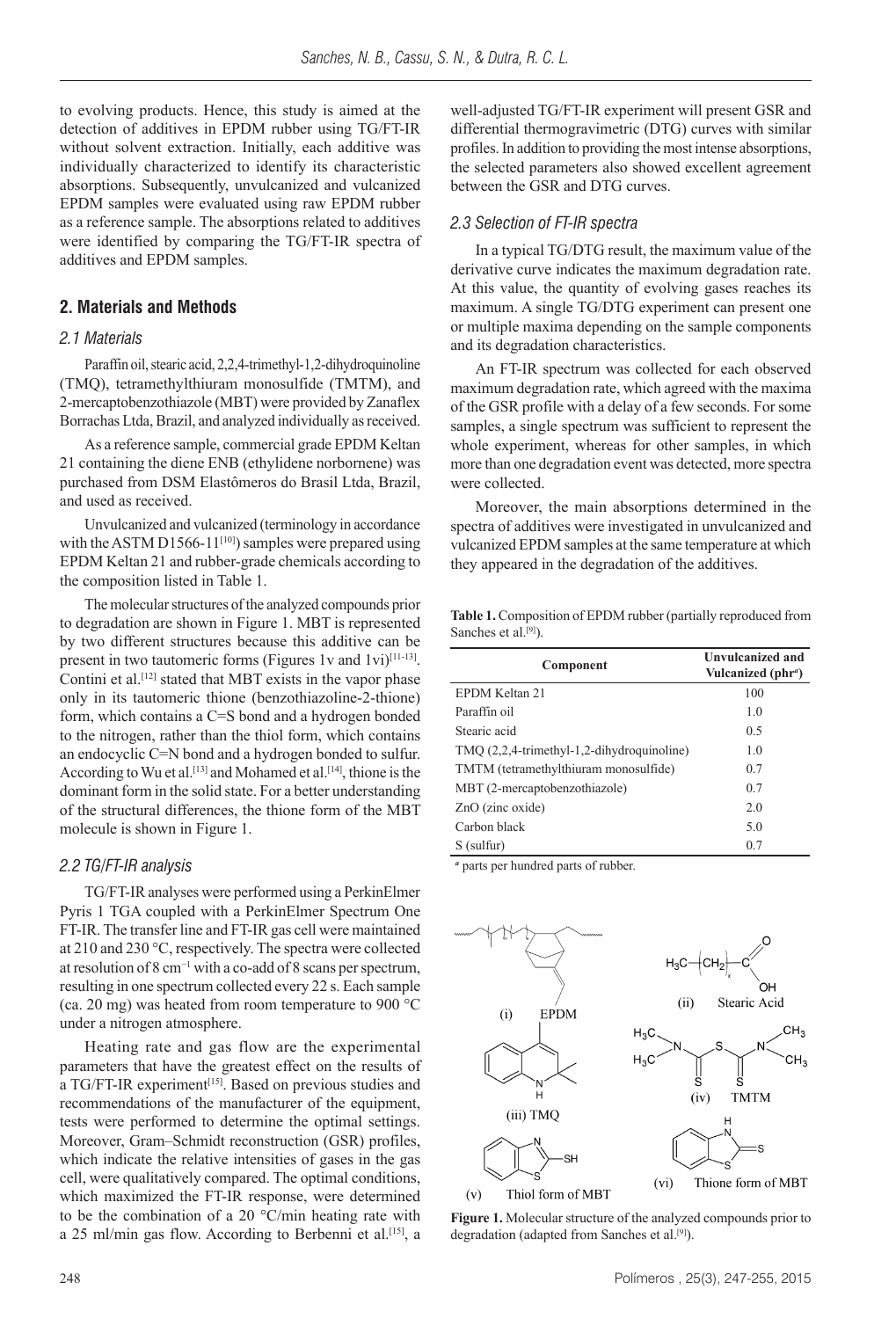to evolving products. Hence, this study is aimed at the detection of additives in EPDM rubber using TG/FT-IR without solvent extraction. Initially, each additive was individually characterized to identify its characteristic absorptions. Subsequently, unvulcanized and vulcanized EPDM samples were evaluated using raw EPDM rubber as a reference sample. The absorptions related to additives were identified by comparing the TG/FT-IR spectra of additives and EPDM samples.

## **2. Materials and Methods**

#### *2.1 Materials*

Paraffin oil, stearic acid, 2,2,4-trimethyl-1,2-dihydroquinoline (TMQ), tetramethylthiuram monosulfide (TMTM), and 2-mercaptobenzothiazole (MBT) were provided by Zanaflex Borrachas Ltda, Brazil, and analyzed individually as received.

As a reference sample, commercial grade EPDM Keltan 21 containing the diene ENB (ethylidene norbornene) was purchased from DSM Elastômeros do Brasil Ltda, Brazil, and used as received.

Unvulcanized and vulcanized (terminology in accordance with the ASTM D1566-11<sup>[10]</sup>) samples were prepared using EPDM Keltan 21 and rubber-grade chemicals according to the composition listed in Table 1.

The molecular structures of the analyzed compounds prior to degradation are shown in Figure 1. MBT is represented by two different structures because this additive can be present in two tautomeric forms (Figures 1v and 1vi)<sup>[11-13]</sup>. Contini et al.<sup>[12]</sup> stated that MBT exists in the vapor phase only in its tautomeric thione (benzothiazoline-2-thione) form, which contains a C=S bond and a hydrogen bonded to the nitrogen, rather than the thiol form, which contains an endocyclic C=N bond and a hydrogen bonded to sulfur. According to Wu et al.<sup>[13]</sup> and Mohamed et al.<sup>[14]</sup>, thione is the dominant form in the solid state. For a better understanding of the structural differences, the thione form of the MBT molecule is shown in Figure 1.

#### *2.2 TG/FT-IR analysis*

TG/FT-IR analyses were performed using a PerkinElmer Pyris 1 TGA coupled with a PerkinElmer Spectrum One FT-IR. The transfer line and FT-IR gas cell were maintained at 210 and 230 °C, respectively. The spectra were collected at resolution of 8 cm−1 with a co-add of 8 scans per spectrum, resulting in one spectrum collected every 22 s. Each sample (ca. 20 mg) was heated from room temperature to 900 °C under a nitrogen atmosphere.

Heating rate and gas flow are the experimental parameters that have the greatest effect on the results of a TG/FT-IR experiment<sup>[15]</sup>. Based on previous studies and recommendations of the manufacturer of the equipment, tests were performed to determine the optimal settings. Moreover, Gram–Schmidt reconstruction (GSR) profiles, which indicate the relative intensities of gases in the gas cell, were qualitatively compared. The optimal conditions, which maximized the FT-IR response, were determined to be the combination of a 20  $\degree$ C/min heating rate with a 25 ml/min gas flow. According to Berbenni et al.<sup>[15]</sup>, a

well-adjusted TG/FT-IR experiment will present GSR and differential thermogravimetric (DTG) curves with similar profiles. In addition to providing the most intense absorptions, the selected parameters also showed excellent agreement between the GSR and DTG curves.

#### *2.3 Selection of FT-IR spectra*

In a typical TG/DTG result, the maximum value of the derivative curve indicates the maximum degradation rate. At this value, the quantity of evolving gases reaches its maximum. A single TG/DTG experiment can present one or multiple maxima depending on the sample components and its degradation characteristics.

An FT-IR spectrum was collected for each observed maximum degradation rate, which agreed with the maxima of the GSR profile with a delay of a few seconds. For some samples, a single spectrum was sufficient to represent the whole experiment, whereas for other samples, in which more than one degradation event was detected, more spectra were collected.

Moreover, the main absorptions determined in the spectra of additives were investigated in unvulcanized and vulcanized EPDM samples at the same temperature at which they appeared in the degradation of the additives.

**Table 1.** Composition of EPDM rubber (partially reproduced from Sanches et al.<sup>[9]</sup>).

| Component                                  | <b>Unvulcanized and</b><br>Vulcanized (phr <sup>a</sup> ) |
|--------------------------------------------|-----------------------------------------------------------|
| EPDM Keltan 21                             | 100                                                       |
| Paraffin oil                               | 1.0                                                       |
| Stearic acid                               | 0.5                                                       |
| TMQ (2,2,4-trimethyl-1,2-dihydroquinoline) | 1.0                                                       |
| TMTM (tetramethylthiuram monosulfide)      | 0.7                                                       |
| MBT (2-mercaptobenzothiazole)              | 0.7                                                       |
| $ZnO$ (zinc oxide)                         | 2.0                                                       |
| Carbon black                               | 5.0                                                       |
| S (sulfur)                                 | 0.7                                                       |

*a* parts per hundred parts of rubber.



**Figure 1.** Molecular structure of the analyzed compounds prior to degradation (adapted from Sanches et al.<sup>[9]</sup>).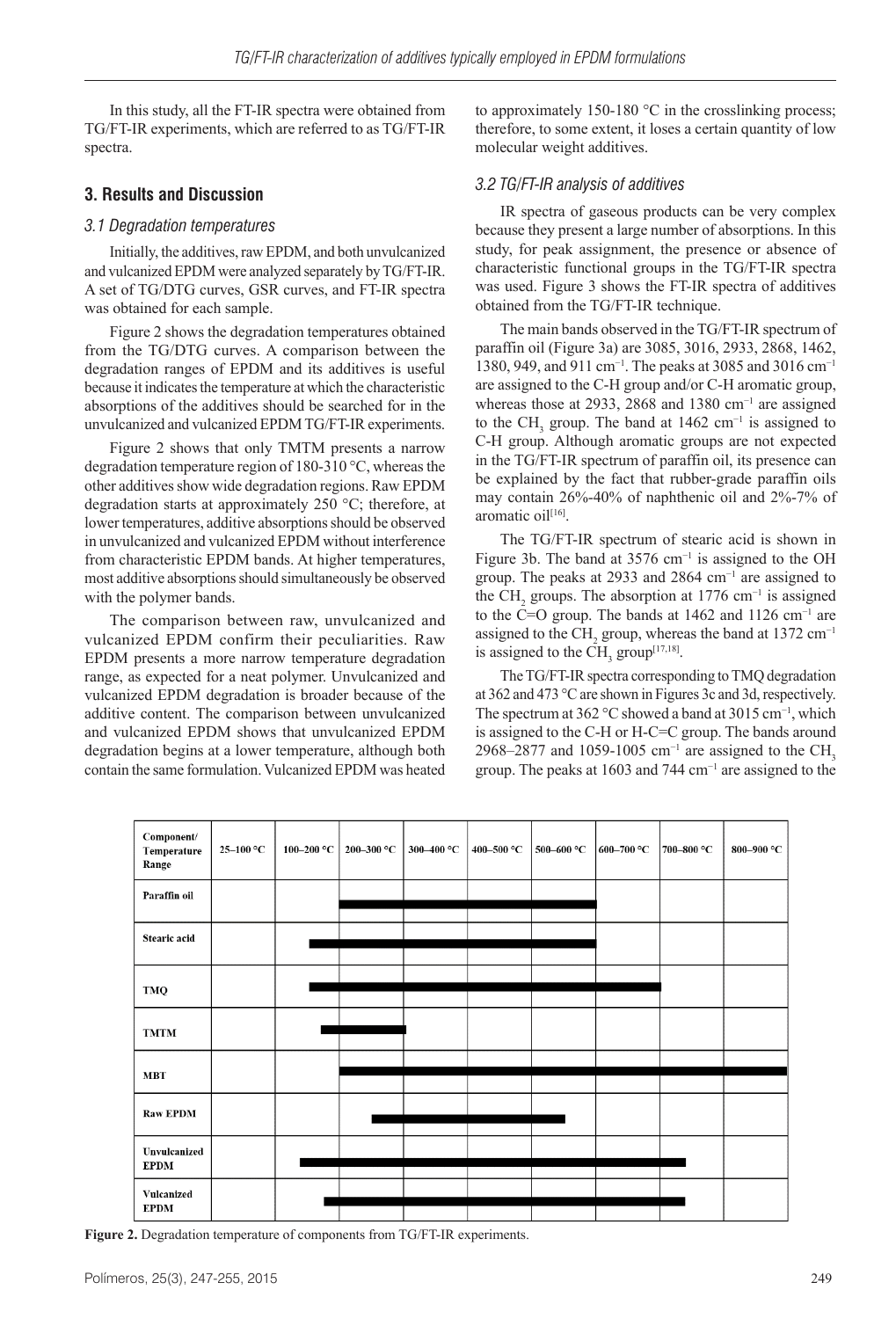In this study, all the FT-IR spectra were obtained from TG/FT-IR experiments, which are referred to as TG/FT-IR spectra.

## **3. Results and Discussion**

## *3.1 Degradation temperatures*

Initially, the additives, raw EPDM, and both unvulcanized and vulcanized EPDM were analyzed separately by TG/FT-IR. A set of TG/DTG curves, GSR curves, and FT-IR spectra was obtained for each sample.

Figure 2 shows the degradation temperatures obtained from the TG/DTG curves. A comparison between the degradation ranges of EPDM and its additives is useful because it indicates the temperature at which the characteristic absorptions of the additives should be searched for in the unvulcanized and vulcanized EPDM TG/FT-IR experiments.

Figure 2 shows that only TMTM presents a narrow degradation temperature region of 180-310 °C, whereas the other additives show wide degradation regions. Raw EPDM degradation starts at approximately 250 °C; therefore, at lower temperatures, additive absorptions should be observed in unvulcanized and vulcanized EPDM without interference from characteristic EPDM bands. At higher temperatures, most additive absorptions should simultaneously be observed with the polymer bands.

The comparison between raw, unvulcanized and vulcanized EPDM confirm their peculiarities. Raw EPDM presents a more narrow temperature degradation range, as expected for a neat polymer. Unvulcanized and vulcanized EPDM degradation is broader because of the additive content. The comparison between unvulcanized and vulcanized EPDM shows that unvulcanized EPDM degradation begins at a lower temperature, although both contain the same formulation. Vulcanized EPDM was heated

to approximately 150-180 °C in the crosslinking process; therefore, to some extent, it loses a certain quantity of low molecular weight additives.

## *3.2 TG/FT-IR analysis of additives*

IR spectra of gaseous products can be very complex because they present a large number of absorptions. In this study, for peak assignment, the presence or absence of characteristic functional groups in the TG/FT-IR spectra was used. Figure 3 shows the FT-IR spectra of additives obtained from the TG/FT-IR technique.

The main bands observed in the TG/FT-IR spectrum of paraffin oil (Figure 3a) are 3085, 3016, 2933, 2868, 1462, 1380, 949, and 911 cm<sup>-1</sup>. The peaks at 3085 and 3016 cm<sup>-1</sup> are assigned to the C-H group and/or C-H aromatic group, whereas those at 2933, 2868 and 1380 cm<sup>-1</sup> are assigned to the CH<sub>3</sub> group. The band at 1462 cm<sup>-1</sup> is assigned to C-H group. Although aromatic groups are not expected in the TG/FT-IR spectrum of paraffin oil, its presence can be explained by the fact that rubber-grade paraffin oils may contain 26%-40% of naphthenic oil and 2%-7% of aromatic oil<sup>[16]</sup>.

The TG/FT-IR spectrum of stearic acid is shown in Figure 3b. The band at  $3576$  cm<sup>-1</sup> is assigned to the OH group. The peaks at 2933 and 2864 cm−1 are assigned to the CH<sub>2</sub> groups. The absorption at 1776 cm<sup>-1</sup> is assigned to the  $\tilde{C}$ =O group. The bands at 1462 and 1126 cm<sup>-1</sup> are assigned to the CH<sub>2</sub> group, whereas the band at 1372 cm<sup>-1</sup> is assigned to the CH<sub>3</sub> group<sup>[17,18]</sup>.

The TG/FT-IR spectra corresponding to TMQ degradation at 362 and 473 °C are shown in Figures 3c and 3d, respectively. The spectrum at 362 °C showed a band at 3015 cm<sup>-1</sup>, which is assigned to the C-H or H-C=C group. The bands around 2968–2877 and 1059-1005 cm<sup>-1</sup> are assigned to the CH<sub>3</sub> group. The peaks at 1603 and 744 cm−1 are assigned to the



**Figure 2.** Degradation temperature of components from TG/FT-IR experiments.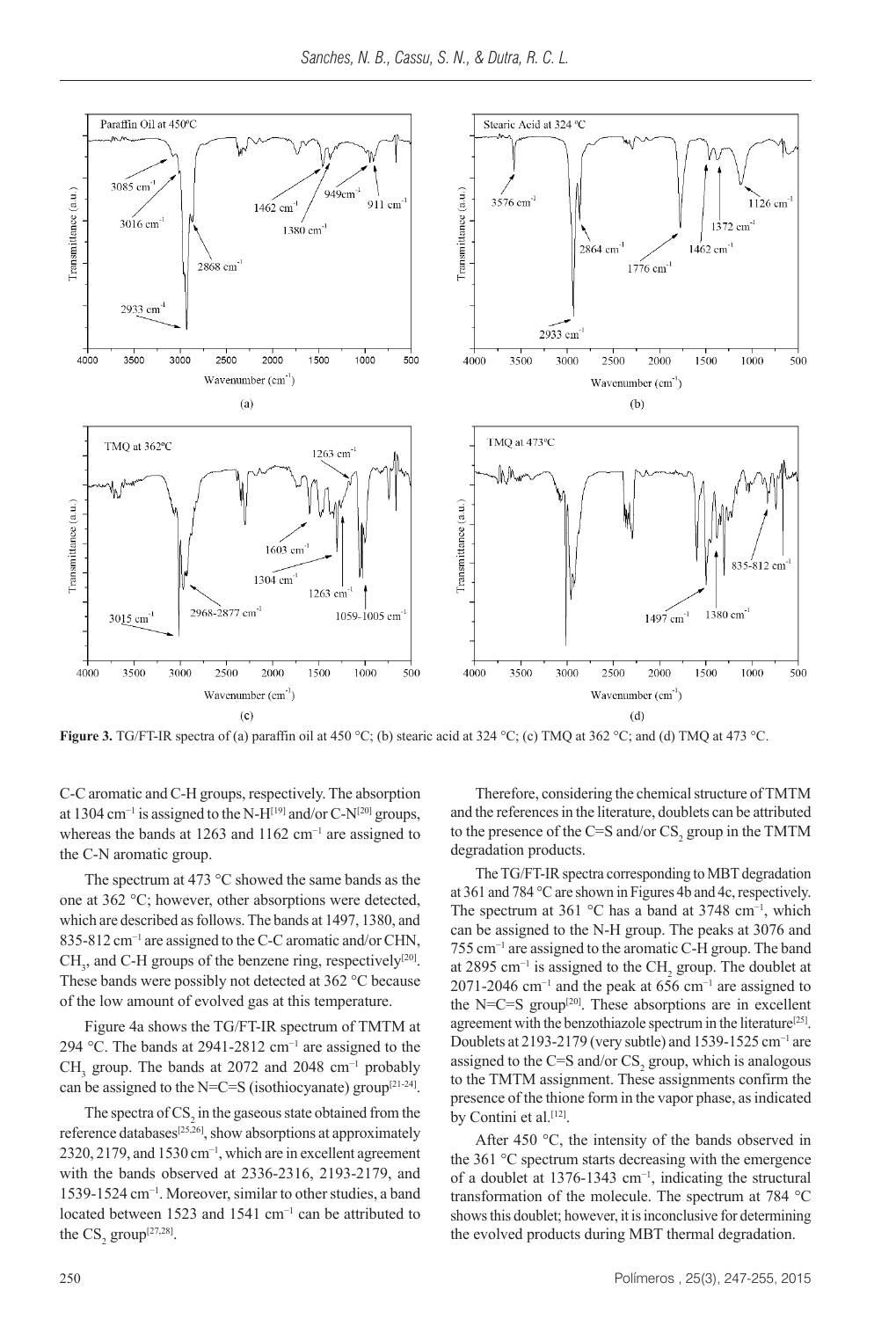

**Figure 3.** TG/FT-IR spectra of (a) paraffin oil at 450 °C; (b) stearic acid at 324 °C; (c) TMQ at 362 °C; and (d) TMQ at 473 °C.

C-C aromatic and C-H groups, respectively. The absorption at 1304 cm<sup>-1</sup> is assigned to the N-H<sup>[19]</sup> and/or C-N<sup>[20]</sup> groups, whereas the bands at 1263 and 1162 cm<sup>-1</sup> are assigned to the C-N aromatic group.

The spectrum at 473 °C showed the same bands as the one at 362 °C; however, other absorptions were detected, which are described as follows. The bands at 1497, 1380, and 835-812 cm<sup>-1</sup> are assigned to the C-C aromatic and/or CHN,  $CH<sub>3</sub>$ , and C-H groups of the benzene ring, respectively<sup>[20]</sup>. These bands were possibly not detected at 362 °C because of the low amount of evolved gas at this temperature.

Figure 4a shows the TG/FT-IR spectrum of TMTM at 294 °C. The bands at 2941-2812 cm<sup>-1</sup> are assigned to the  $CH<sub>3</sub>$  group. The bands at 2072 and 2048 cm<sup>-1</sup> probably can be assigned to the N=C=S (isothiocyanate) group<sup>[21-24]</sup>.

The spectra of  $CS_2$  in the gaseous state obtained from the reference databases<sup>[25,26]</sup>, show absorptions at approximately 2320, 2179, and 1530 cm<sup>-1</sup>, which are in excellent agreement with the bands observed at 2336-2316, 2193-2179, and 1539-1524 cm−1. Moreover, similar to other studies, a band located between 1523 and 1541 cm−1 can be attributed to the  $CS_2$  group<sup>[27,28]</sup>.

Therefore, considering the chemical structure of TMTM and the references in the literature, doublets can be attributed to the presence of the C=S and/or  $\text{CS}_2$  group in the TMTM degradation products.

The TG/FT-IR spectra corresponding to MBT degradation at 361 and 784 °C are shown in Figures 4b and 4c, respectively. The spectrum at 361 °C has a band at 3748 cm<sup>-1</sup>, which can be assigned to the N-H group. The peaks at 3076 and 755 cm−1 are assigned to the aromatic C-H group. The band at 2895 cm<sup>-1</sup> is assigned to the  $CH_2$  group. The doublet at 2071-2046 cm−1 and the peak at 656 cm−1 are assigned to the N=C=S group<sup>[20]</sup>. These absorptions are in excellent agreement with the benzothiazole spectrum in the literature<sup>[25]</sup>. Doublets at 2193-2179 (very subtle) and 1539-1525 cm−1 are assigned to the C=S and/or  $CS_2$  group, which is analogous to the TMTM assignment. These assignments confirm the presence of the thione form in the vapor phase, as indicated by Contini et al.<sup>[12]</sup>.

After 450 °C, the intensity of the bands observed in the 361 °C spectrum starts decreasing with the emergence of a doublet at 1376-1343 cm−1, indicating the structural transformation of the molecule. The spectrum at 784 °C shows this doublet; however, it is inconclusive for determining the evolved products during MBT thermal degradation.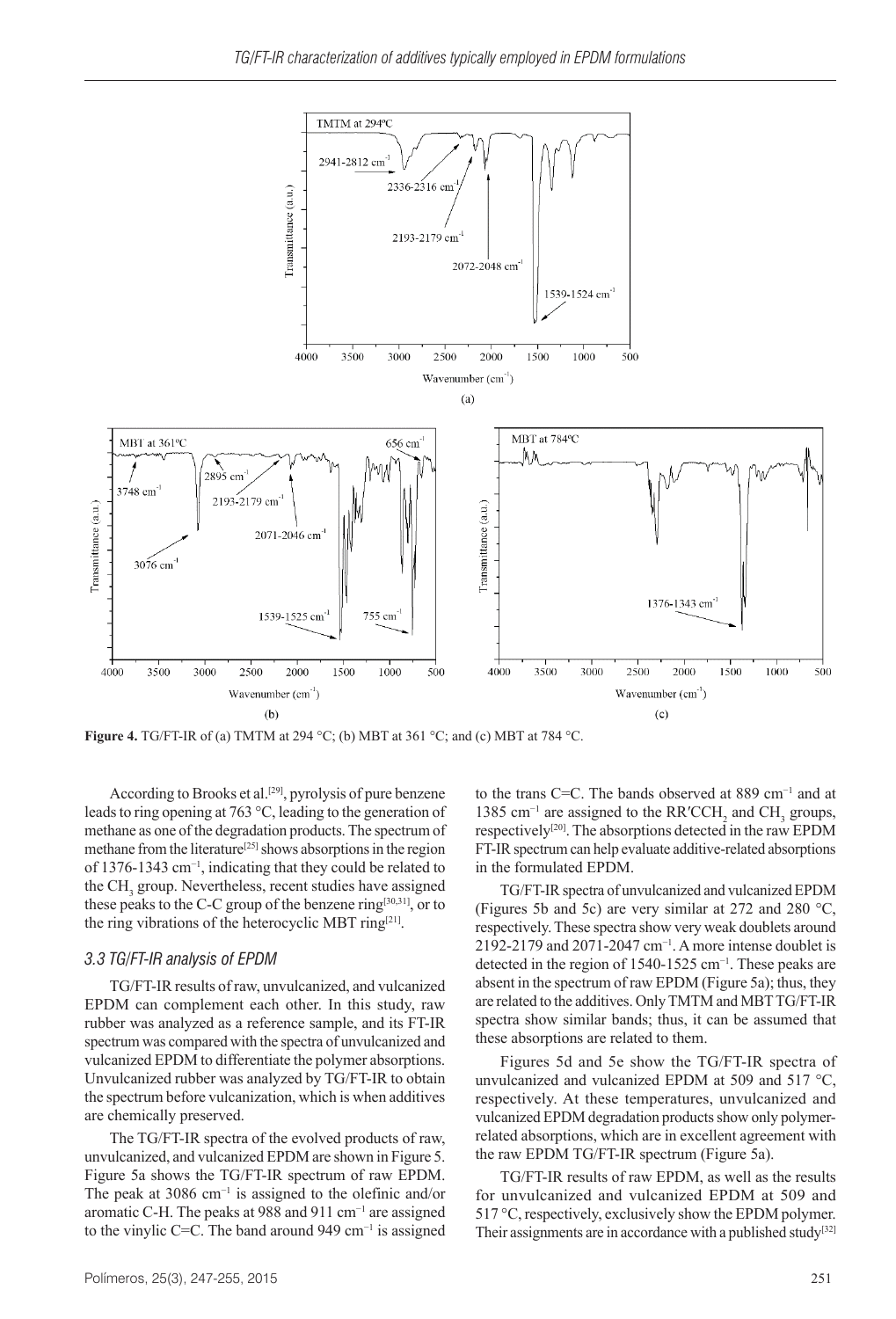

**Figure 4.** TG/FT-IR of (a) TMTM at 294 °C; (b) MBT at 361 °C; and (c) MBT at 784 °C.

According to Brooks et al.<sup>[29]</sup>, pyrolysis of pure benzene leads to ring opening at 763 °C, leading to the generation of methane as one of the degradation products. The spectrum of methane from the literature<sup>[25]</sup> shows absorptions in the region of 1376-1343 cm−1, indicating that they could be related to the  $CH<sub>3</sub>$  group. Nevertheless, recent studies have assigned these peaks to the C-C group of the benzene ring<sup>[30,31]</sup>, or to the ring vibrations of the heterocyclic MBT ring<sup>[21]</sup>.

#### *3.3 TG/FT-IR analysis of EPDM*

TG/FT-IR results of raw, unvulcanized, and vulcanized EPDM can complement each other. In this study, raw rubber was analyzed as a reference sample, and its FT-IR spectrum was compared with the spectra of unvulcanized and vulcanized EPDM to differentiate the polymer absorptions. Unvulcanized rubber was analyzed by TG/FT-IR to obtain the spectrum before vulcanization, which is when additives are chemically preserved.

The TG/FT-IR spectra of the evolved products of raw, unvulcanized, and vulcanized EPDM are shown in Figure 5. Figure 5a shows the TG/FT-IR spectrum of raw EPDM. The peak at 3086 cm<sup>-1</sup> is assigned to the olefinic and/or aromatic C-H. The peaks at 988 and 911 cm−1 are assigned to the vinylic C=C. The band around 949 cm−1 is assigned

to the trans C=C. The bands observed at 889 cm−1 and at 1385 cm<sup>-1</sup> are assigned to the RR′CCH<sub>2</sub> and CH<sub>3</sub> groups, respectively<sup>[20]</sup>. The absorptions detected in the raw EPDM FT-IR spectrum can help evaluate additive-related absorptions in the formulated EPDM.

TG/FT-IR spectra of unvulcanized and vulcanized EPDM (Figures 5b and 5c) are very similar at 272 and 280 °C, respectively. These spectra show very weak doublets around 2192-2179 and 2071-2047 cm<sup>-1</sup>. A more intense doublet is detected in the region of 1540-1525 cm−1. These peaks are absent in the spectrum of raw EPDM (Figure 5a); thus, they are related to the additives. Only TMTM and MBT TG/FT-IR spectra show similar bands; thus, it can be assumed that these absorptions are related to them.

Figures 5d and 5e show the TG/FT-IR spectra of unvulcanized and vulcanized EPDM at 509 and 517 °C, respectively. At these temperatures, unvulcanized and vulcanized EPDM degradation products show only polymerrelated absorptions, which are in excellent agreement with the raw EPDM TG/FT-IR spectrum (Figure 5a).

TG/FT-IR results of raw EPDM, as well as the results for unvulcanized and vulcanized EPDM at 509 and 517 °C, respectively, exclusively show the EPDM polymer. Their assignments are in accordance with a published study<sup>[32]</sup>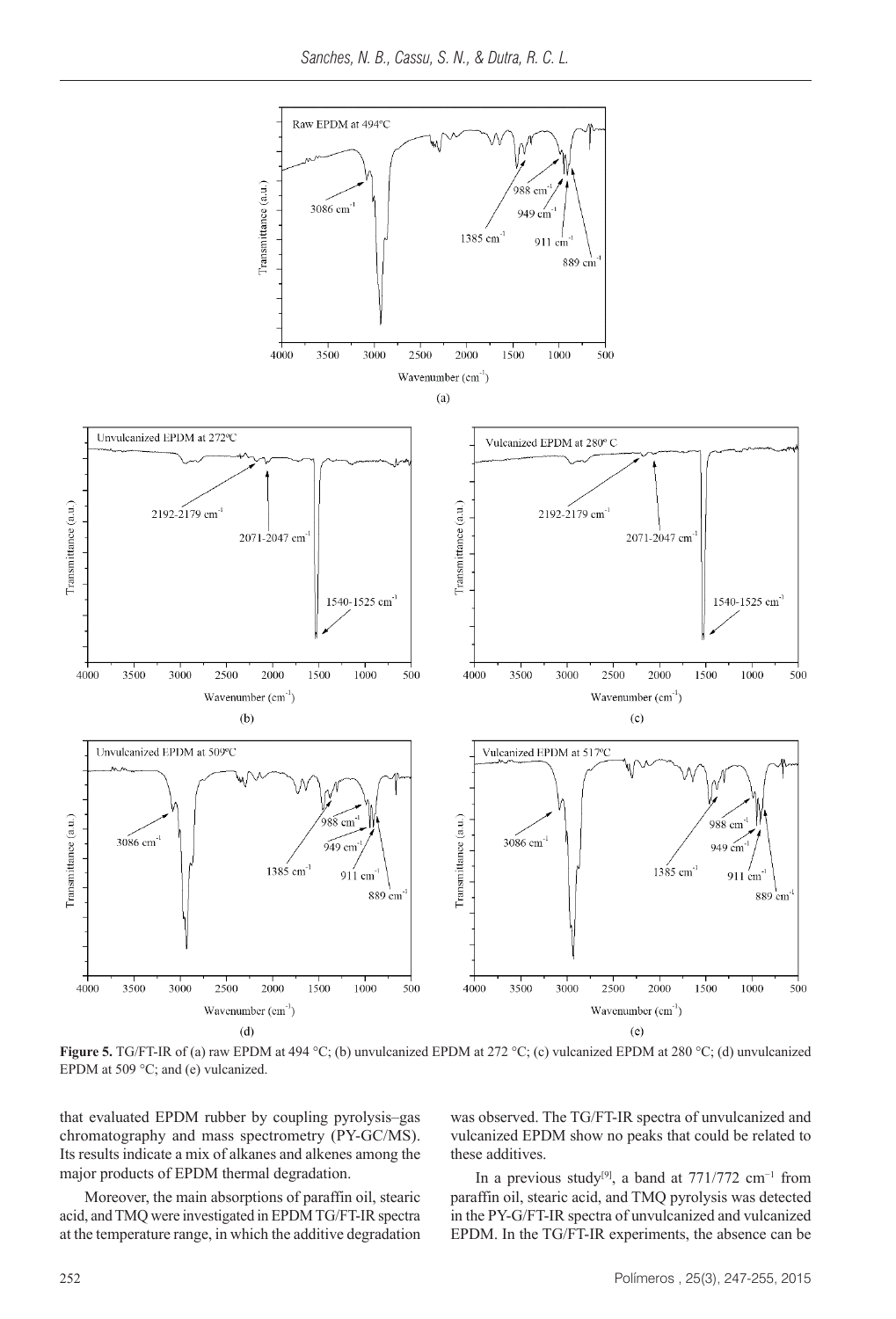

**Figure 5.** TG/FT-IR of (a) raw EPDM at 494 °C; (b) unvulcanized EPDM at 272 °C; (c) vulcanized EPDM at 280 °C; (d) unvulcanized EPDM at 509 °C; and (e) vulcanized.

that evaluated EPDM rubber by coupling pyrolysis–gas chromatography and mass spectrometry (PY-GC/MS). Its results indicate a mix of alkanes and alkenes among the major products of EPDM thermal degradation.

Moreover, the main absorptions of paraffin oil, stearic acid, and TMQ were investigated in EPDM TG/FT-IR spectra at the temperature range, in which the additive degradation was observed. The TG/FT-IR spectra of unvulcanized and vulcanized EPDM show no peaks that could be related to these additives.

In a previous study<sup>[9]</sup>, a band at  $771/772$  cm<sup>-1</sup> from paraffin oil, stearic acid, and TMQ pyrolysis was detected in the PY-G/FT-IR spectra of unvulcanized and vulcanized EPDM. In the TG/FT-IR experiments, the absence can be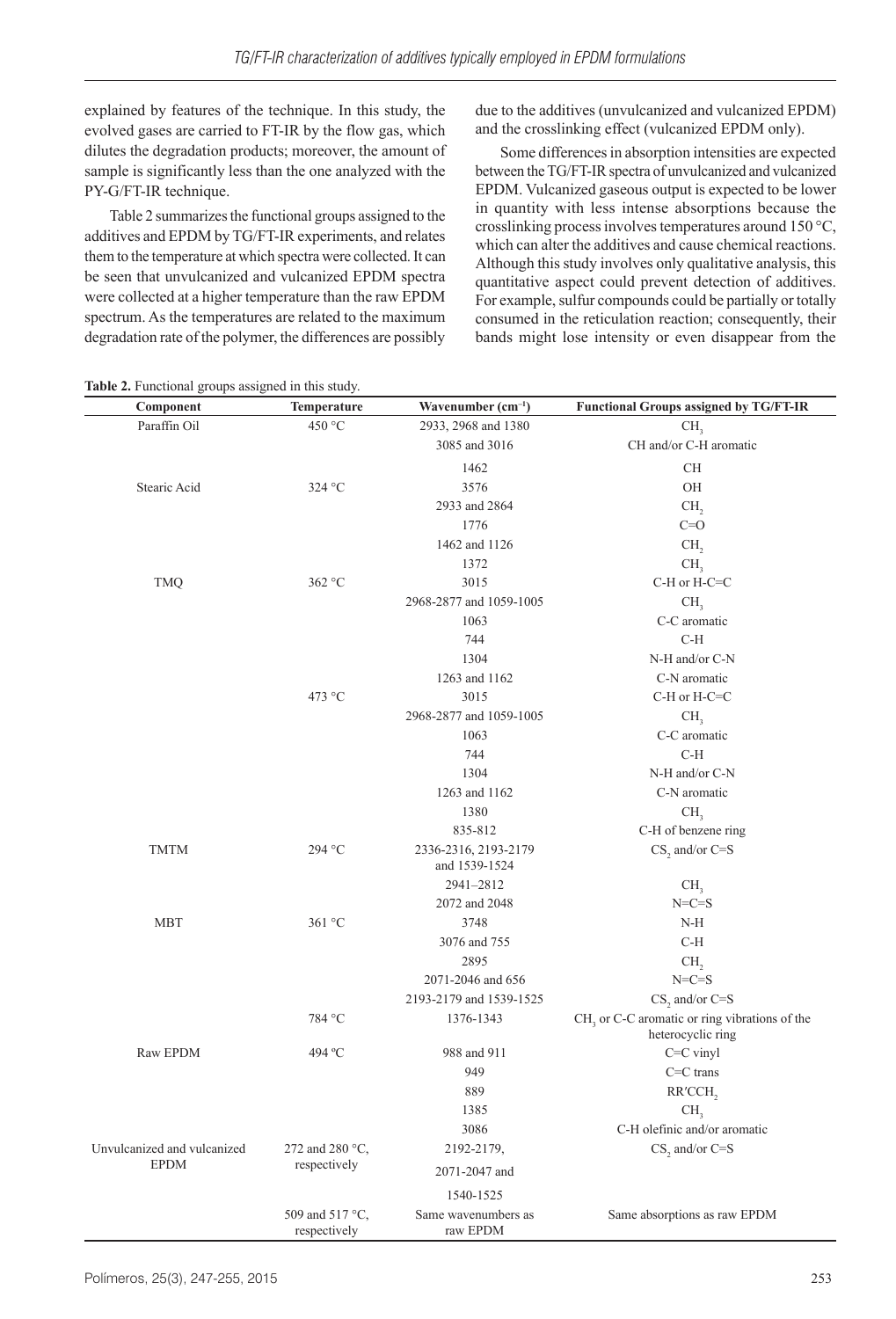explained by features of the technique. In this study, the evolved gases are carried to FT-IR by the flow gas, which dilutes the degradation products; moreover, the amount of sample is significantly less than the one analyzed with the PY-G/FT-IR technique.

Table 2 summarizes the functional groups assigned to the additives and EPDM by TG/FT-IR experiments, and relates them to the temperature at which spectra were collected. It can be seen that unvulcanized and vulcanized EPDM spectra were collected at a higher temperature than the raw EPDM spectrum. As the temperatures are related to the maximum degradation rate of the polymer, the differences are possibly due to the additives (unvulcanized and vulcanized EPDM) and the crosslinking effect (vulcanized EPDM only).

Some differences in absorption intensities are expected between the TG/FT-IR spectra of unvulcanized and vulcanized EPDM. Vulcanized gaseous output is expected to be lower in quantity with less intense absorptions because the crosslinking process involves temperatures around 150 °C, which can alter the additives and cause chemical reactions. Although this study involves only qualitative analysis, this quantitative aspect could prevent detection of additives. For example, sulfur compounds could be partially or totally consumed in the reticulation reaction; consequently, their bands might lose intensity or even disappear from the

| Component                                  | Temperature                     | Wavenumber $(cm-1)$                   | <b>Functional Groups assigned by TG/FT-IR</b>                      |
|--------------------------------------------|---------------------------------|---------------------------------------|--------------------------------------------------------------------|
| Paraffin Oil                               | 450 °C                          | 2933, 2968 and 1380                   | CH <sub>2</sub>                                                    |
|                                            |                                 | 3085 and 3016                         | CH and/or C-H aromatic                                             |
|                                            |                                 | 1462                                  | <b>CH</b>                                                          |
| Stearic Acid                               | 324 °C                          | 3576                                  | OH                                                                 |
|                                            |                                 | 2933 and 2864                         | CH <sub>2</sub>                                                    |
|                                            |                                 | 1776                                  | $C=O$                                                              |
|                                            |                                 | 1462 and 1126                         | CH <sub>2</sub>                                                    |
|                                            |                                 | 1372                                  | CH,                                                                |
| <b>TMQ</b>                                 | 362 °C                          | 3015                                  | C-H or H-C=C                                                       |
|                                            |                                 | 2968-2877 and 1059-1005               | CH <sub>3</sub>                                                    |
|                                            |                                 | 1063                                  | C-C aromatic                                                       |
|                                            |                                 | 744                                   | C-H                                                                |
|                                            |                                 | 1304                                  | N-H and/or C-N                                                     |
|                                            |                                 | 1263 and 1162                         | C-N aromatic                                                       |
|                                            | 473 °C                          | 3015                                  | C-H or H-C=C                                                       |
|                                            |                                 | 2968-2877 and 1059-1005               | CH <sub>3</sub>                                                    |
|                                            |                                 | 1063                                  | C-C aromatic                                                       |
|                                            |                                 | 744                                   | $C-H$                                                              |
|                                            |                                 | 1304                                  | N-H and/or C-N                                                     |
|                                            |                                 | 1263 and 1162                         | C-N aromatic                                                       |
|                                            |                                 | 1380                                  | CH <sub>3</sub>                                                    |
|                                            |                                 | 835-812                               | C-H of benzene ring                                                |
| <b>TMTM</b>                                | 294 °C                          | 2336-2316, 2193-2179<br>and 1539-1524 | $CS$ , and/or $C = S$                                              |
|                                            |                                 | 2941-2812                             | CH <sub>3</sub>                                                    |
|                                            |                                 | 2072 and 2048                         | $N=C=S$                                                            |
| <b>MBT</b>                                 | 361 °C                          | 3748                                  | N-H                                                                |
|                                            |                                 | 3076 and 755                          | $C-H$                                                              |
|                                            |                                 | 2895                                  | CH <sub>2</sub>                                                    |
|                                            |                                 | 2071-2046 and 656                     | $N=C=S$                                                            |
|                                            |                                 | 2193-2179 and 1539-1525               | $CS$ , and/or $C = S$                                              |
|                                            | 784 °C                          | 1376-1343                             | CH, or C-C aromatic or ring vibrations of the<br>heterocyclic ring |
| Raw EPDM                                   | 494 °C                          | 988 and 911                           | $C=C$ vinyl                                                        |
|                                            |                                 | 949                                   | $C=C$ trans                                                        |
|                                            |                                 | 889                                   | RR'CCH,                                                            |
|                                            |                                 | 1385                                  | CH,                                                                |
|                                            |                                 | 3086                                  | C-H olefinic and/or aromatic                                       |
| Unvulcanized and vulcanized<br><b>EPDM</b> | 272 and 280 °C,<br>respectively | 2192-2179,                            | $CS$ , and/or $C = S$                                              |
|                                            |                                 | 2071-2047 and                         |                                                                    |
|                                            |                                 | 1540-1525                             |                                                                    |
|                                            | 509 and 517 °C,<br>respectively | Same wavenumbers as<br>raw EPDM       | Same absorptions as raw EPDM                                       |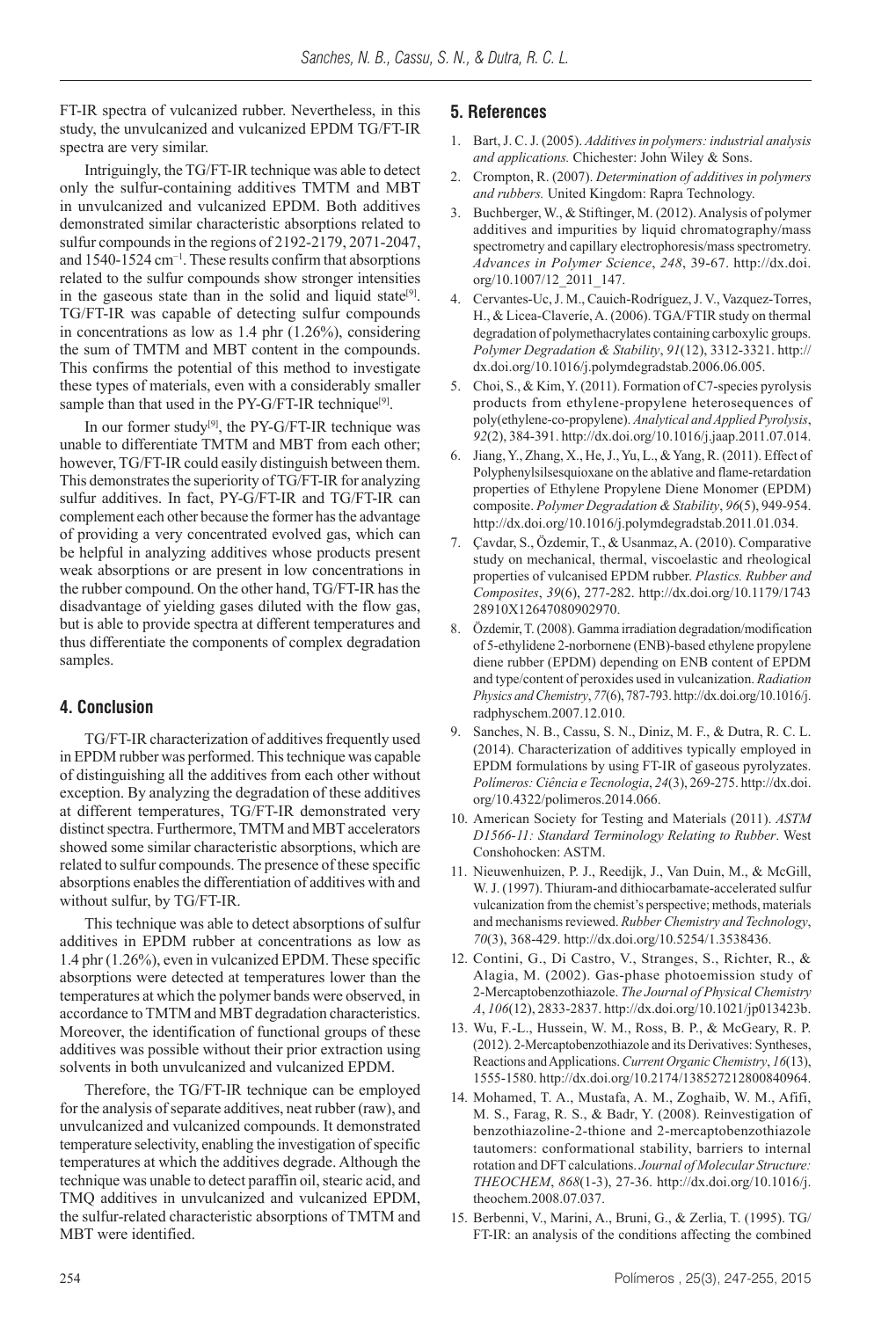FT-IR spectra of vulcanized rubber. Nevertheless, in this study, the unvulcanized and vulcanized EPDM TG/FT-IR spectra are very similar.

Intriguingly, the TG/FT-IR technique was able to detect only the sulfur-containing additives TMTM and MBT in unvulcanized and vulcanized EPDM. Both additives demonstrated similar characteristic absorptions related to sulfur compounds in the regions of 2192-2179, 2071-2047, and 1540-1524 cm−1. These results confirm that absorptions related to the sulfur compounds show stronger intensities in the gaseous state than in the solid and liquid state<sup>[9]</sup>. TG/FT-IR was capable of detecting sulfur compounds in concentrations as low as 1.4 phr (1.26%), considering the sum of TMTM and MBT content in the compounds. This confirms the potential of this method to investigate these types of materials, even with a considerably smaller sample than that used in the  $PY-G/FT-IR$  technique<sup>[9]</sup>.

In our former study $^{[9]}$ , the PY-G/FT-IR technique was unable to differentiate TMTM and MBT from each other; however, TG/FT-IR could easily distinguish between them. This demonstrates the superiority of TG/FT-IR for analyzing sulfur additives. In fact, PY-G/FT-IR and TG/FT-IR can complement each other because the former has the advantage of providing a very concentrated evolved gas, which can be helpful in analyzing additives whose products present weak absorptions or are present in low concentrations in the rubber compound. On the other hand, TG/FT-IR has the disadvantage of yielding gases diluted with the flow gas, but is able to provide spectra at different temperatures and thus differentiate the components of complex degradation samples.

## **4. Conclusion**

TG/FT-IR characterization of additives frequently used in EPDM rubber was performed. This technique was capable of distinguishing all the additives from each other without exception. By analyzing the degradation of these additives at different temperatures, TG/FT-IR demonstrated very distinct spectra. Furthermore, TMTM and MBT accelerators showed some similar characteristic absorptions, which are related to sulfur compounds. The presence of these specific absorptions enables the differentiation of additives with and without sulfur, by TG/FT-IR.

This technique was able to detect absorptions of sulfur additives in EPDM rubber at concentrations as low as 1.4 phr (1.26%), even in vulcanized EPDM. These specific absorptions were detected at temperatures lower than the temperatures at which the polymer bands were observed, in accordance to TMTM and MBT degradation characteristics. Moreover, the identification of functional groups of these additives was possible without their prior extraction using solvents in both unvulcanized and vulcanized EPDM.

Therefore, the TG/FT-IR technique can be employed for the analysis of separate additives, neat rubber (raw), and unvulcanized and vulcanized compounds. It demonstrated temperature selectivity, enabling the investigation of specific temperatures at which the additives degrade. Although the technique was unable to detect paraffin oil, stearic acid, and TMQ additives in unvulcanized and vulcanized EPDM, the sulfur-related characteristic absorptions of TMTM and MBT were identified.

## **5. References**

- 1. Bart, J. C. J. (2005). *Additives in polymers: industrial analysis and applications.* Chichester: John Wiley & Sons.
- 2. Crompton, R. (2007). *Determination of additives in polymers and rubbers.* United Kingdom: Rapra Technology.
- 3. Buchberger, W., & Stiftinger, M. (2012). Analysis of polymer additives and impurities by liquid chromatography/mass spectrometry and capillary electrophoresis/mass spectrometry. *Advances in Polymer Science*, *248*, 39-67. [http://dx.doi.](http://dx.doi.org/10.1007/12_2011_147) [org/10.1007/12\\_2011\\_147](http://dx.doi.org/10.1007/12_2011_147).
- 4. Cervantes-Uc, J. M., Cauich-Rodríguez, J. V., Vazquez-Torres, H., & Licea-Claveríe, A. (2006). TGA/FTIR study on thermal degradation of polymethacrylates containing carboxylic groups. *Polymer Degradation & Stability*, *91*(12), 3312-3321. [http://](http://dx.doi.org/10.1016/j.polymdegradstab.2006.06.005) [dx.doi.org/10.1016/j.polymdegradstab.2006.06.005](http://dx.doi.org/10.1016/j.polymdegradstab.2006.06.005).
- 5. Choi, S., & Kim, Y. (2011). Formation of C7-species pyrolysis products from ethylene-propylene heterosequences of poly(ethylene-co-propylene). *Analytical and Applied Pyrolysis*, *92*(2), 384-391.<http://dx.doi.org/10.1016/j.jaap.2011.07.014>.
- 6. Jiang, Y., Zhang, X., He, J., Yu, L., & Yang, R. (2011). Effect of Polyphenylsilsesquioxane on the ablative and flame-retardation properties of Ethylene Propylene Diene Monomer (EPDM) composite. *Polymer Degradation & Stability*, *96*(5), 949-954. [http://dx.doi.org/10.1016/j.polymdegradstab.2011.01.034.](http://dx.doi.org/10.1016/j.polymdegradstab.2011.01.034)
- 7. Çavdar, S., Özdemir, T., & Usanmaz, A. (2010). Comparative study on mechanical, thermal, viscoelastic and rheological properties of vulcanised EPDM rubber. *Plastics. Rubber and Composites*, *39*(6), 277-282. [http://dx.doi.org/10.1179/1743](http://dx.doi.org/10.1179/174328910X12647080902970) [28910X12647080902970](http://dx.doi.org/10.1179/174328910X12647080902970).
- Özdemir, T. (2008). Gamma irradiation degradation/modification of 5-ethylidene 2-norbornene (ENB)-based ethylene propylene diene rubber (EPDM) depending on ENB content of EPDM and type/content of peroxides used in vulcanization. *Radiation Physics and Chemistry*, *77*(6), 787-793. [http://dx.doi.org/10.1016/j.](http://dx.doi.org/10.1016/j.radphyschem.2007.12.010) [radphyschem.2007.12.010](http://dx.doi.org/10.1016/j.radphyschem.2007.12.010).
- 9. Sanches, N. B., Cassu, S. N., Diniz, M. F., & Dutra, R. C. L. (2014). Characterization of additives typically employed in EPDM formulations by using FT-IR of gaseous pyrolyzates. *Polímeros: Ciência e Tecnologia*, *24*(3), 269-275. [http://dx.doi.](http://dx.doi.org/10.4322/polimeros.2014.066) [org/10.4322/polimeros.2014.066](http://dx.doi.org/10.4322/polimeros.2014.066).
- 10. American Society for Testing and Materials (2011). *ASTM D1566-11: Standard Terminology Relating to Rubber*. West Conshohocken: ASTM.
- 11. Nieuwenhuizen, P. J., Reedijk, J., Van Duin, M., & McGill, W. J. (1997). Thiuram-and dithiocarbamate-accelerated sulfur vulcanization from the chemist's perspective; methods, materials and mechanisms reviewed. *Rubber Chemistry and Technology*, *70*(3), 368-429. http://dx.doi.org/10.5254/1.3538436.
- 12. Contini, G., Di Castro, V., Stranges, S., Richter, R., & Alagia, M. (2002). Gas-phase photoemission study of 2-Mercaptobenzothiazole. *The Journal of Physical Chemistry A*, *106*(12), 2833-2837.<http://dx.doi.org/10.1021/jp013423b>.
- 13. Wu, F.-L., Hussein, W. M., Ross, B. P., & McGeary, R. P. (2012). 2-Mercaptobenzothiazole and its Derivatives: Syntheses, Reactions and Applications. *Current Organic Chemistry*, *16*(13), 1555-1580.<http://dx.doi.org/10.2174/138527212800840964>.
- 14. Mohamed, T. A., Mustafa, A. M., Zoghaib, W. M., Afifi, M. S., Farag, R. S., & Badr, Y. (2008). Reinvestigation of benzothiazoline-2-thione and 2-mercaptobenzothiazole tautomers: conformational stability, barriers to internal rotation and DFT calculations. *Journal of Molecular Structure: THEOCHEM*, *868*(1-3), 27-36. [http://dx.doi.org/10.1016/j.](http://dx.doi.org/10.1016/j.theochem.2008.07.037) [theochem.2008.07.037.](http://dx.doi.org/10.1016/j.theochem.2008.07.037)
- 15. Berbenni, V., Marini, A., Bruni, G., & Zerlia, T. (1995). TG/ FT-IR: an analysis of the conditions affecting the combined